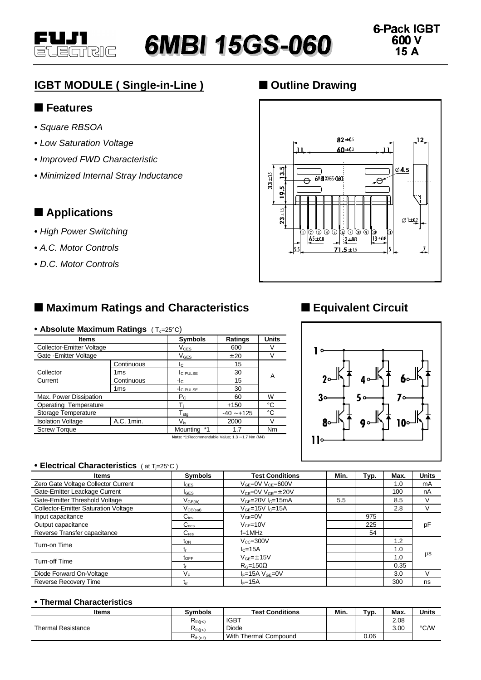

# **IGBT MODULE ( Single-in-Line )**

### n **Features**

- **•** *Square RBSOA*
- **•** *Low Saturation Voltage*
- **•** *Improved FWD Characteristic*
- **•** *Minimized Internal Stray Inductance*

### $\blacksquare$  Applications

- **•** *High Power Switching*
- **•** *A.C. Motor Controls*
- **•** *D.C. Motor Controls*

# ■ Maximum Ratings and Characteristics

#### • Absolute Maximum Ratings (T<sub>c</sub>=25°C)

| <b>Items</b>                                        |            | <b>Symbols</b>               | Ratings      | <b>Units</b> |  |  |
|-----------------------------------------------------|------------|------------------------------|--------------|--------------|--|--|
| Collector-Emitter Voltage                           |            | $V_{CES}$                    | 600          | V            |  |  |
| Gate - Emitter Voltage                              |            | $V_{\mathsf{GES}}$           | ±20          | V            |  |  |
| Collector<br>Current                                | Continuous | Ic.                          | 15           |              |  |  |
|                                                     | 1ms        | <b>C</b> PULSE               | 30           | A            |  |  |
|                                                     | Continuous | -lc                          | 15           |              |  |  |
|                                                     | 1ms        | -I <sub>C</sub> PULSE        | 30           |              |  |  |
| Max. Power Dissipation                              |            | $P_{\rm C}$                  | 60           | W            |  |  |
| Operating Temperature                               |            |                              | $+150$       | °C           |  |  |
| Storage Temperature                                 |            | ${\mathsf T}_{\textsf{sta}}$ | $-40 - +125$ | °C           |  |  |
| <b>Isolation Voltage</b>                            | A.C. 1min. | $\mathsf{V}_{\mathsf{is}}$   | 2000         | V            |  |  |
| <b>Screw Torque</b>                                 |            | Mounting *1                  | 1.7          | Nm           |  |  |
| Material Departmentation Value of O., A. 7 May (MA) |            |                              |              |              |  |  |

**Note:** \*1:Recommendable Value; 1.3 ∼ 1.7 Nm (M4)

# ■ Outline Drawing



### $\blacksquare$  **Equivalent Circuit**



#### **• Electrical Characteristics** ( at Tj=25°C )

| <b>Items</b>                                | <b>Symbols</b>    | <b>Test Conditions</b>         | Min. | Typ. | Max. | <b>Units</b> |
|---------------------------------------------|-------------------|--------------------------------|------|------|------|--------------|
| Zero Gate Voltage Collector Current         | <b>I</b> CES      | $V_{GE} = 0V V_{CE} = 600V$    |      |      | 1.0  | mA           |
| Gate-Emitter Leackage Current               | $I_{\text{GES}}$  | $V_{CF} = 0V V_{GF} = \pm 20V$ |      |      | 100  | nA           |
| Gate-Emitter Threshold Voltage              | $V_{GE(th)}$      | $VGE=20V IC=15mA$              | 5.5  |      | 8.5  |              |
| <b>Collector-Emitter Saturation Voltage</b> | $\rm V_{CE(sat)}$ | $V_{GF}=15V$ $I_{C}=15A$       |      |      | 2.8  | V            |
| Input capacitance                           | $C_{\text{ies}}$  | $V_{GF}=0V$                    |      | 975  |      |              |
| Output capacitance                          | $C_{\text{oes}}$  | $V_{CF} = 10V$                 |      | 225  |      | рF           |
| Reverse Transfer capacitance                | $C_{res}$         | $f=1MHz$                       |      | 54   |      |              |
| Turn-on Time                                | τ <sub>οΝ</sub>   | $V_{CC} = 300V$                |      |      | 1.2  | μS           |
|                                             | Tr.               | $lc=15A$                       |      |      | 1.0  |              |
| Turn-off Time                               | $t_{\text{OFF}}$  | $V_{GF}=\pm 15V$               |      |      | 1.0  |              |
|                                             |                   | $R_G=150\Omega$                |      |      | 0.35 |              |
| Diode Forward On-Voltage                    | V⊧                | $I_F=15A$ $V_{GE}=0V$          |      |      | 3.0  | V            |
| <b>Reverse Recovery Time</b>                | Гrr               | $I_F = 15A$                    |      |      | 300  | ns           |

#### **• Thermal Characteristics**

| ltems              | <b>Symbols</b> | <b>Test Conditions</b> | Min. | Typ. | Max. | <b>Units</b>  |
|--------------------|----------------|------------------------|------|------|------|---------------|
| Thermal Resistance | $R_{th(i-c)}$  | <b>IGBT</b>            |      |      | 2.08 |               |
|                    | $R_{th(i-c)}$  | Diode                  |      |      | 3.00 | $\degree$ C/W |
|                    | $R_{th(c-f)}$  | With Thermal Compound  |      | 0.06 |      |               |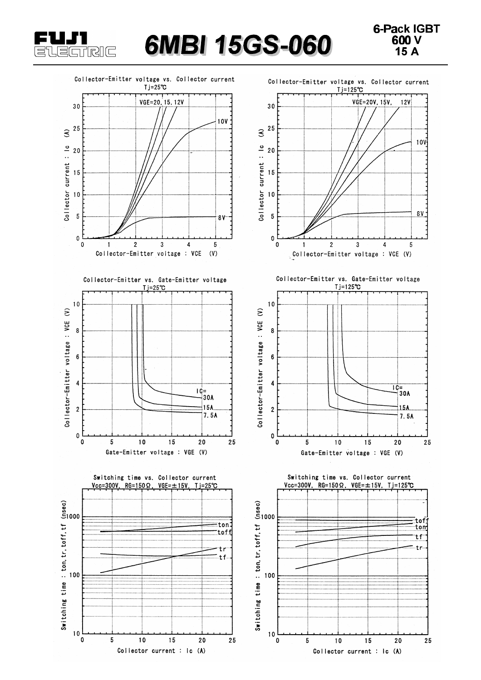

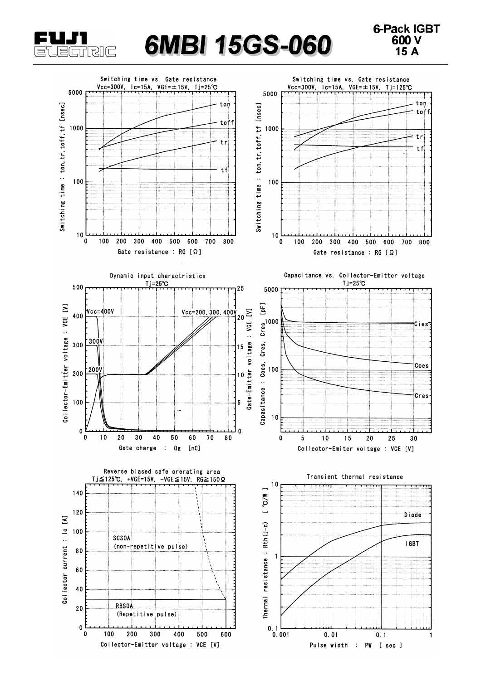